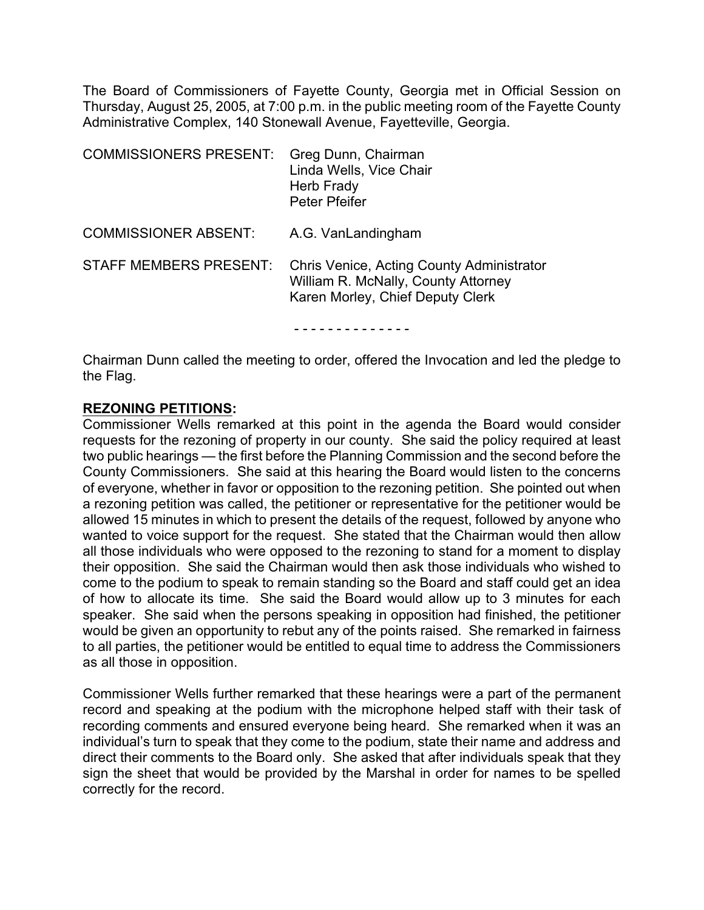The Board of Commissioners of Fayette County, Georgia met in Official Session on Thursday, August 25, 2005, at 7:00 p.m. in the public meeting room of the Fayette County Administrative Complex, 140 Stonewall Avenue, Fayetteville, Georgia.

| <b>COMMISSIONERS PRESENT:</b> | Greg Dunn, Chairman<br>Linda Wells, Vice Chair<br>Herb Frady<br><b>Peter Pfeifer</b>                                 |
|-------------------------------|----------------------------------------------------------------------------------------------------------------------|
| <b>COMMISSIONER ABSENT:</b>   | A.G. VanLandingham                                                                                                   |
| <b>STAFF MEMBERS PRESENT:</b> | Chris Venice, Acting County Administrator<br>William R. McNally, County Attorney<br>Karen Morley, Chief Deputy Clerk |
|                               |                                                                                                                      |

Chairman Dunn called the meeting to order, offered the Invocation and led the pledge to the Flag.

#### **REZONING PETITIONS:**

Commissioner Wells remarked at this point in the agenda the Board would consider requests for the rezoning of property in our county. She said the policy required at least two public hearings — the first before the Planning Commission and the second before the County Commissioners. She said at this hearing the Board would listen to the concerns of everyone, whether in favor or opposition to the rezoning petition. She pointed out when a rezoning petition was called, the petitioner or representative for the petitioner would be allowed 15 minutes in which to present the details of the request, followed by anyone who wanted to voice support for the request. She stated that the Chairman would then allow all those individuals who were opposed to the rezoning to stand for a moment to display their opposition. She said the Chairman would then ask those individuals who wished to come to the podium to speak to remain standing so the Board and staff could get an idea of how to allocate its time. She said the Board would allow up to 3 minutes for each speaker. She said when the persons speaking in opposition had finished, the petitioner would be given an opportunity to rebut any of the points raised. She remarked in fairness to all parties, the petitioner would be entitled to equal time to address the Commissioners as all those in opposition.

Commissioner Wells further remarked that these hearings were a part of the permanent record and speaking at the podium with the microphone helped staff with their task of recording comments and ensured everyone being heard. She remarked when it was an individual's turn to speak that they come to the podium, state their name and address and direct their comments to the Board only. She asked that after individuals speak that they sign the sheet that would be provided by the Marshal in order for names to be spelled correctly for the record.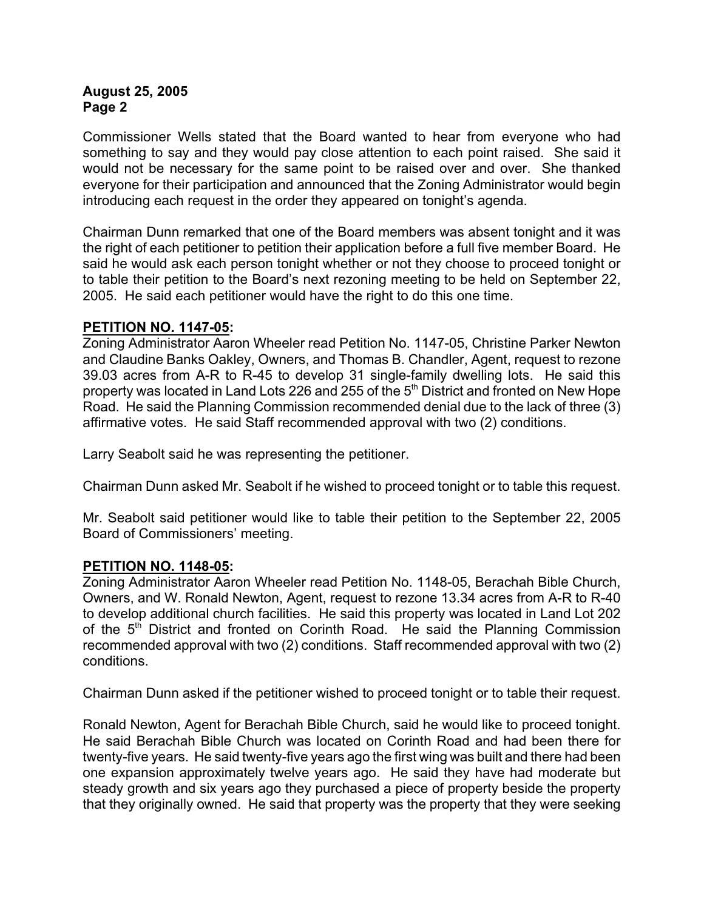Commissioner Wells stated that the Board wanted to hear from everyone who had something to say and they would pay close attention to each point raised. She said it would not be necessary for the same point to be raised over and over. She thanked everyone for their participation and announced that the Zoning Administrator would begin introducing each request in the order they appeared on tonight's agenda.

Chairman Dunn remarked that one of the Board members was absent tonight and it was the right of each petitioner to petition their application before a full five member Board. He said he would ask each person tonight whether or not they choose to proceed tonight or to table their petition to the Board's next rezoning meeting to be held on September 22, 2005. He said each petitioner would have the right to do this one time.

#### **PETITION NO. 1147-05:**

Zoning Administrator Aaron Wheeler read Petition No. 1147-05, Christine Parker Newton and Claudine Banks Oakley, Owners, and Thomas B. Chandler, Agent, request to rezone 39.03 acres from A-R to R-45 to develop 31 single-family dwelling lots. He said this property was located in Land Lots 226 and 255 of the 5<sup>th</sup> District and fronted on New Hope Road. He said the Planning Commission recommended denial due to the lack of three (3) affirmative votes. He said Staff recommended approval with two (2) conditions.

Larry Seabolt said he was representing the petitioner.

Chairman Dunn asked Mr. Seabolt if he wished to proceed tonight or to table this request.

Mr. Seabolt said petitioner would like to table their petition to the September 22, 2005 Board of Commissioners' meeting.

#### **PETITION NO. 1148-05:**

Zoning Administrator Aaron Wheeler read Petition No. 1148-05, Berachah Bible Church, Owners, and W. Ronald Newton, Agent, request to rezone 13.34 acres from A-R to R-40 to develop additional church facilities. He said this property was located in Land Lot 202 of the 5<sup>th</sup> District and fronted on Corinth Road. He said the Planning Commission recommended approval with two (2) conditions. Staff recommended approval with two (2) conditions.

Chairman Dunn asked if the petitioner wished to proceed tonight or to table their request.

Ronald Newton, Agent for Berachah Bible Church, said he would like to proceed tonight. He said Berachah Bible Church was located on Corinth Road and had been there for twenty-five years. He said twenty-five years ago the first wing was built and there had been one expansion approximately twelve years ago. He said they have had moderate but steady growth and six years ago they purchased a piece of property beside the property that they originally owned. He said that property was the property that they were seeking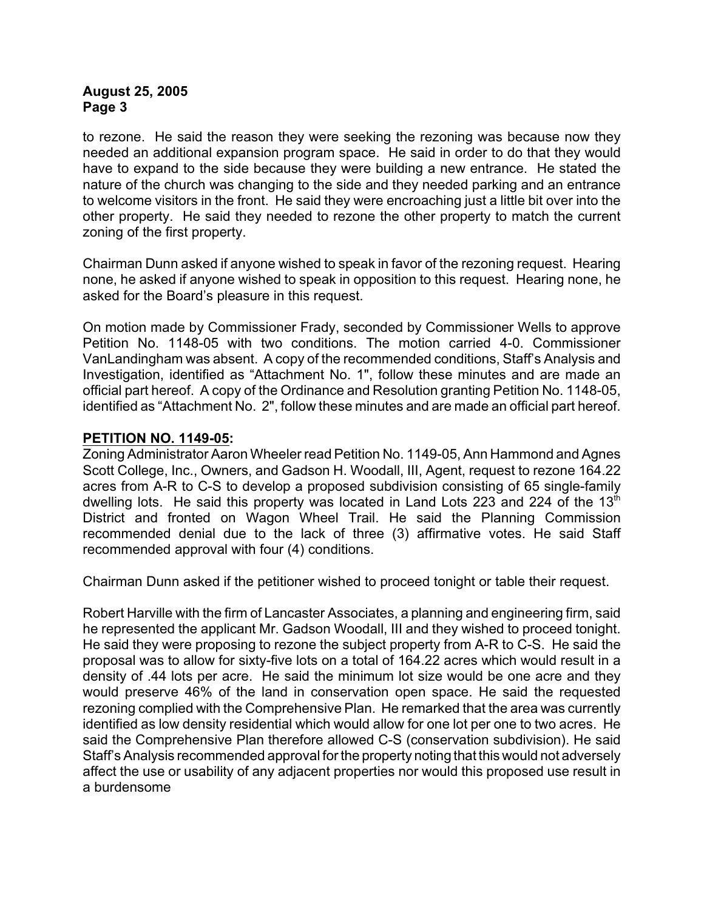to rezone. He said the reason they were seeking the rezoning was because now they needed an additional expansion program space. He said in order to do that they would have to expand to the side because they were building a new entrance. He stated the nature of the church was changing to the side and they needed parking and an entrance to welcome visitors in the front. He said they were encroaching just a little bit over into the other property. He said they needed to rezone the other property to match the current zoning of the first property.

Chairman Dunn asked if anyone wished to speak in favor of the rezoning request. Hearing none, he asked if anyone wished to speak in opposition to this request. Hearing none, he asked for the Board's pleasure in this request.

On motion made by Commissioner Frady, seconded by Commissioner Wells to approve Petition No. 1148-05 with two conditions. The motion carried 4-0. Commissioner VanLandingham was absent. A copy of the recommended conditions, Staff's Analysis and Investigation, identified as "Attachment No. 1", follow these minutes and are made an official part hereof. A copy of the Ordinance and Resolution granting Petition No. 1148-05, identified as "Attachment No. 2", follow these minutes and are made an official part hereof.

#### **PETITION NO. 1149-05:**

Zoning Administrator Aaron Wheeler read Petition No. 1149-05, Ann Hammond and Agnes Scott College, Inc., Owners, and Gadson H. Woodall, III, Agent, request to rezone 164.22 acres from A-R to C-S to develop a proposed subdivision consisting of 65 single-family dwelling lots. He said this property was located in Land Lots 223 and 224 of the  $13<sup>th</sup>$ District and fronted on Wagon Wheel Trail. He said the Planning Commission recommended denial due to the lack of three (3) affirmative votes. He said Staff recommended approval with four (4) conditions.

Chairman Dunn asked if the petitioner wished to proceed tonight or table their request.

Robert Harville with the firm of Lancaster Associates, a planning and engineering firm, said he represented the applicant Mr. Gadson Woodall, III and they wished to proceed tonight. He said they were proposing to rezone the subject property from A-R to C-S. He said the proposal was to allow for sixty-five lots on a total of 164.22 acres which would result in a density of .44 lots per acre. He said the minimum lot size would be one acre and they would preserve 46% of the land in conservation open space. He said the requested rezoning complied with the Comprehensive Plan. He remarked that the area was currently identified as low density residential which would allow for one lot per one to two acres. He said the Comprehensive Plan therefore allowed C-S (conservation subdivision). He said Staff's Analysis recommended approval for the property noting that this would not adversely affect the use or usability of any adjacent properties nor would this proposed use result in a burdensome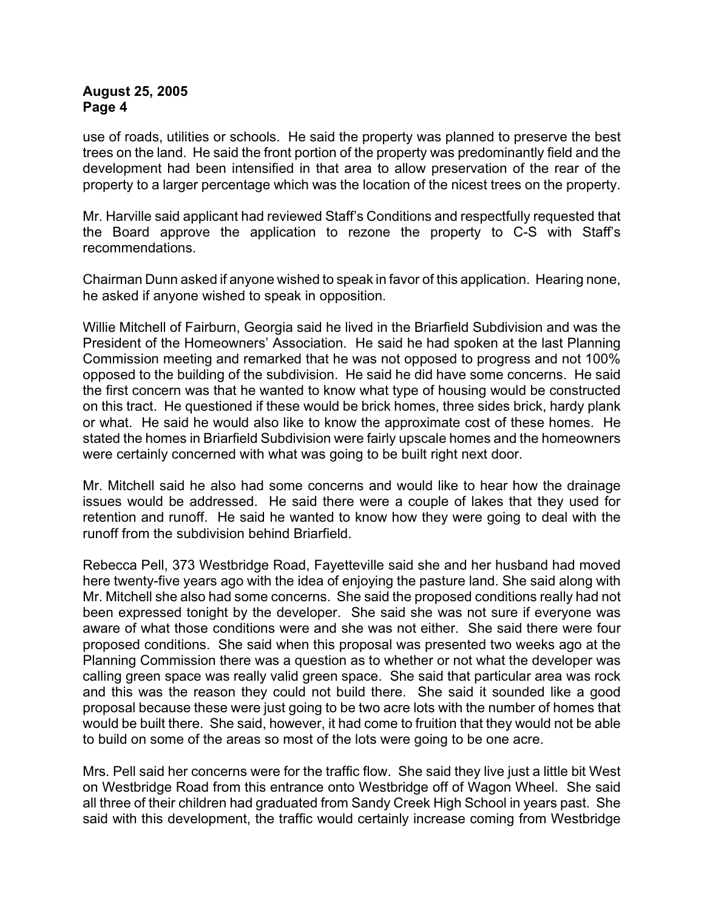use of roads, utilities or schools. He said the property was planned to preserve the best trees on the land. He said the front portion of the property was predominantly field and the development had been intensified in that area to allow preservation of the rear of the property to a larger percentage which was the location of the nicest trees on the property.

Mr. Harville said applicant had reviewed Staff's Conditions and respectfully requested that the Board approve the application to rezone the property to C-S with Staff's recommendations.

Chairman Dunn asked if anyone wished to speak in favor of this application. Hearing none, he asked if anyone wished to speak in opposition.

Willie Mitchell of Fairburn, Georgia said he lived in the Briarfield Subdivision and was the President of the Homeowners' Association. He said he had spoken at the last Planning Commission meeting and remarked that he was not opposed to progress and not 100% opposed to the building of the subdivision. He said he did have some concerns. He said the first concern was that he wanted to know what type of housing would be constructed on this tract. He questioned if these would be brick homes, three sides brick, hardy plank or what. He said he would also like to know the approximate cost of these homes. He stated the homes in Briarfield Subdivision were fairly upscale homes and the homeowners were certainly concerned with what was going to be built right next door.

Mr. Mitchell said he also had some concerns and would like to hear how the drainage issues would be addressed. He said there were a couple of lakes that they used for retention and runoff. He said he wanted to know how they were going to deal with the runoff from the subdivision behind Briarfield.

Rebecca Pell, 373 Westbridge Road, Fayetteville said she and her husband had moved here twenty-five years ago with the idea of enjoying the pasture land. She said along with Mr. Mitchell she also had some concerns. She said the proposed conditions really had not been expressed tonight by the developer. She said she was not sure if everyone was aware of what those conditions were and she was not either. She said there were four proposed conditions. She said when this proposal was presented two weeks ago at the Planning Commission there was a question as to whether or not what the developer was calling green space was really valid green space. She said that particular area was rock and this was the reason they could not build there. She said it sounded like a good proposal because these were just going to be two acre lots with the number of homes that would be built there. She said, however, it had come to fruition that they would not be able to build on some of the areas so most of the lots were going to be one acre.

Mrs. Pell said her concerns were for the traffic flow. She said they live just a little bit West on Westbridge Road from this entrance onto Westbridge off of Wagon Wheel. She said all three of their children had graduated from Sandy Creek High School in years past. She said with this development, the traffic would certainly increase coming from Westbridge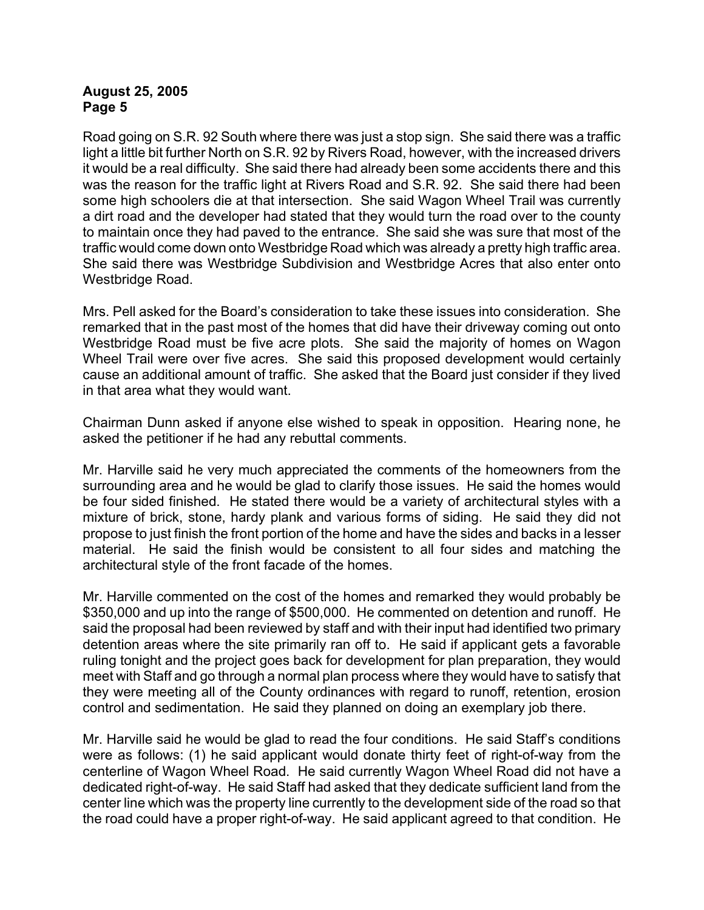Road going on S.R. 92 South where there was just a stop sign. She said there was a traffic light a little bit further North on S.R. 92 by Rivers Road, however, with the increased drivers it would be a real difficulty. She said there had already been some accidents there and this was the reason for the traffic light at Rivers Road and S.R. 92. She said there had been some high schoolers die at that intersection. She said Wagon Wheel Trail was currently a dirt road and the developer had stated that they would turn the road over to the county to maintain once they had paved to the entrance. She said she was sure that most of the traffic would come down onto Westbridge Road which was already a pretty high traffic area. She said there was Westbridge Subdivision and Westbridge Acres that also enter onto Westbridge Road.

Mrs. Pell asked for the Board's consideration to take these issues into consideration. She remarked that in the past most of the homes that did have their driveway coming out onto Westbridge Road must be five acre plots. She said the majority of homes on Wagon Wheel Trail were over five acres. She said this proposed development would certainly cause an additional amount of traffic. She asked that the Board just consider if they lived in that area what they would want.

Chairman Dunn asked if anyone else wished to speak in opposition. Hearing none, he asked the petitioner if he had any rebuttal comments.

Mr. Harville said he very much appreciated the comments of the homeowners from the surrounding area and he would be glad to clarify those issues. He said the homes would be four sided finished. He stated there would be a variety of architectural styles with a mixture of brick, stone, hardy plank and various forms of siding. He said they did not propose to just finish the front portion of the home and have the sides and backs in a lesser material. He said the finish would be consistent to all four sides and matching the architectural style of the front facade of the homes.

Mr. Harville commented on the cost of the homes and remarked they would probably be \$350,000 and up into the range of \$500,000. He commented on detention and runoff. He said the proposal had been reviewed by staff and with their input had identified two primary detention areas where the site primarily ran off to. He said if applicant gets a favorable ruling tonight and the project goes back for development for plan preparation, they would meet with Staff and go through a normal plan process where they would have to satisfy that they were meeting all of the County ordinances with regard to runoff, retention, erosion control and sedimentation. He said they planned on doing an exemplary job there.

Mr. Harville said he would be glad to read the four conditions. He said Staff's conditions were as follows: (1) he said applicant would donate thirty feet of right-of-way from the centerline of Wagon Wheel Road. He said currently Wagon Wheel Road did not have a dedicated right-of-way. He said Staff had asked that they dedicate sufficient land from the center line which was the property line currently to the development side of the road so that the road could have a proper right-of-way. He said applicant agreed to that condition. He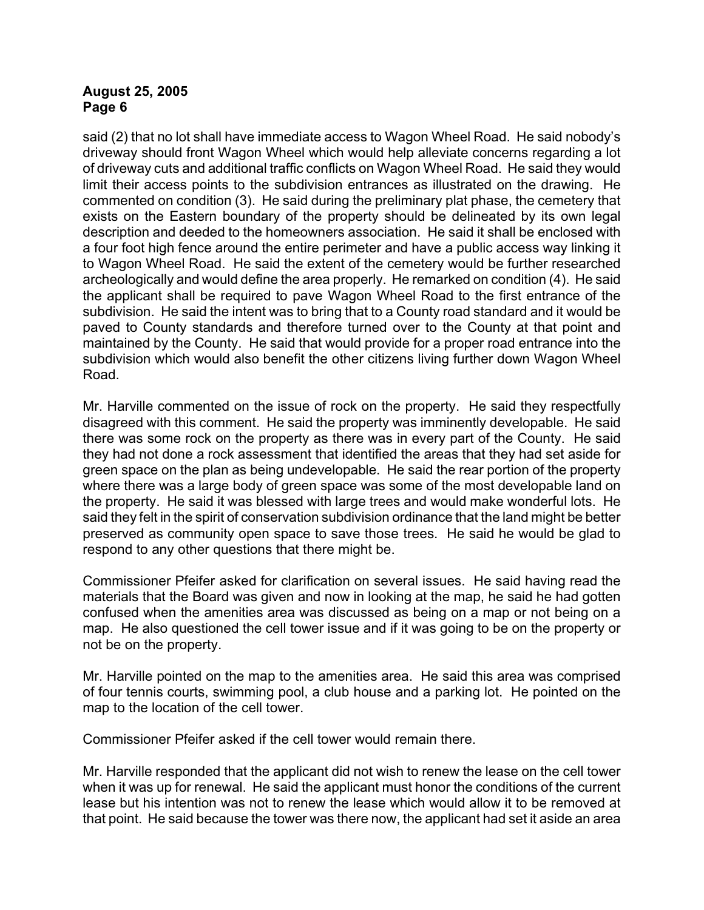said (2) that no lot shall have immediate access to Wagon Wheel Road. He said nobody's driveway should front Wagon Wheel which would help alleviate concerns regarding a lot of driveway cuts and additional traffic conflicts on Wagon Wheel Road. He said they would limit their access points to the subdivision entrances as illustrated on the drawing. He commented on condition (3). He said during the preliminary plat phase, the cemetery that exists on the Eastern boundary of the property should be delineated by its own legal description and deeded to the homeowners association. He said it shall be enclosed with a four foot high fence around the entire perimeter and have a public access way linking it to Wagon Wheel Road. He said the extent of the cemetery would be further researched archeologically and would define the area properly. He remarked on condition (4). He said the applicant shall be required to pave Wagon Wheel Road to the first entrance of the subdivision. He said the intent was to bring that to a County road standard and it would be paved to County standards and therefore turned over to the County at that point and maintained by the County. He said that would provide for a proper road entrance into the subdivision which would also benefit the other citizens living further down Wagon Wheel Road.

Mr. Harville commented on the issue of rock on the property. He said they respectfully disagreed with this comment. He said the property was imminently developable. He said there was some rock on the property as there was in every part of the County. He said they had not done a rock assessment that identified the areas that they had set aside for green space on the plan as being undevelopable. He said the rear portion of the property where there was a large body of green space was some of the most developable land on the property. He said it was blessed with large trees and would make wonderful lots. He said they felt in the spirit of conservation subdivision ordinance that the land might be better preserved as community open space to save those trees. He said he would be glad to respond to any other questions that there might be.

Commissioner Pfeifer asked for clarification on several issues. He said having read the materials that the Board was given and now in looking at the map, he said he had gotten confused when the amenities area was discussed as being on a map or not being on a map. He also questioned the cell tower issue and if it was going to be on the property or not be on the property.

Mr. Harville pointed on the map to the amenities area. He said this area was comprised of four tennis courts, swimming pool, a club house and a parking lot. He pointed on the map to the location of the cell tower.

Commissioner Pfeifer asked if the cell tower would remain there.

Mr. Harville responded that the applicant did not wish to renew the lease on the cell tower when it was up for renewal. He said the applicant must honor the conditions of the current lease but his intention was not to renew the lease which would allow it to be removed at that point. He said because the tower was there now, the applicant had set it aside an area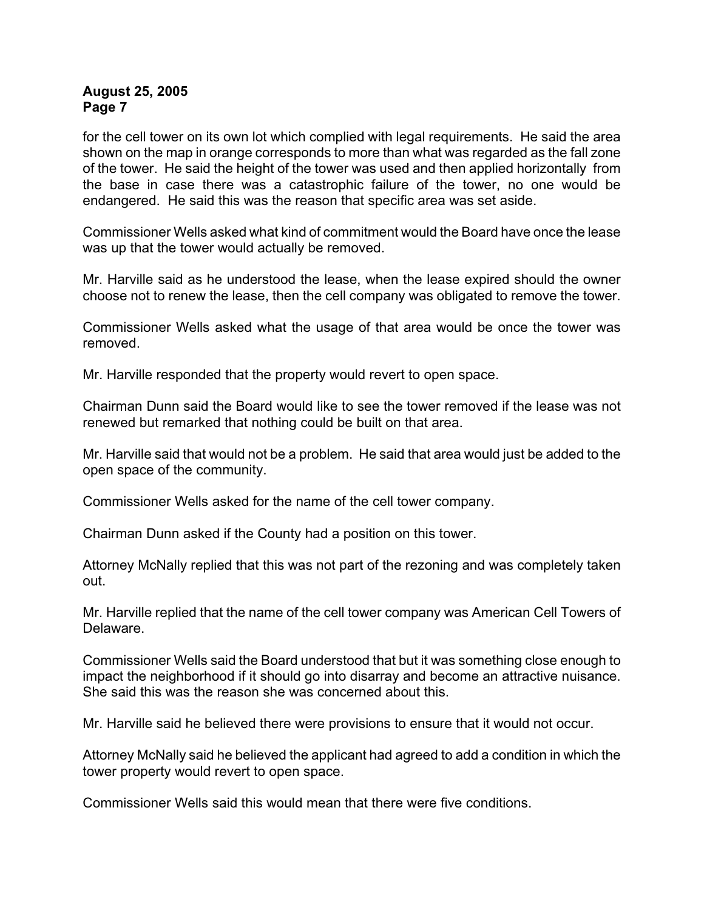for the cell tower on its own lot which complied with legal requirements. He said the area shown on the map in orange corresponds to more than what was regarded as the fall zone of the tower. He said the height of the tower was used and then applied horizontally from the base in case there was a catastrophic failure of the tower, no one would be endangered. He said this was the reason that specific area was set aside.

Commissioner Wells asked what kind of commitment would the Board have once the lease was up that the tower would actually be removed.

Mr. Harville said as he understood the lease, when the lease expired should the owner choose not to renew the lease, then the cell company was obligated to remove the tower.

Commissioner Wells asked what the usage of that area would be once the tower was removed.

Mr. Harville responded that the property would revert to open space.

Chairman Dunn said the Board would like to see the tower removed if the lease was not renewed but remarked that nothing could be built on that area.

Mr. Harville said that would not be a problem. He said that area would just be added to the open space of the community.

Commissioner Wells asked for the name of the cell tower company.

Chairman Dunn asked if the County had a position on this tower.

Attorney McNally replied that this was not part of the rezoning and was completely taken out.

Mr. Harville replied that the name of the cell tower company was American Cell Towers of Delaware.

Commissioner Wells said the Board understood that but it was something close enough to impact the neighborhood if it should go into disarray and become an attractive nuisance. She said this was the reason she was concerned about this.

Mr. Harville said he believed there were provisions to ensure that it would not occur.

Attorney McNally said he believed the applicant had agreed to add a condition in which the tower property would revert to open space.

Commissioner Wells said this would mean that there were five conditions.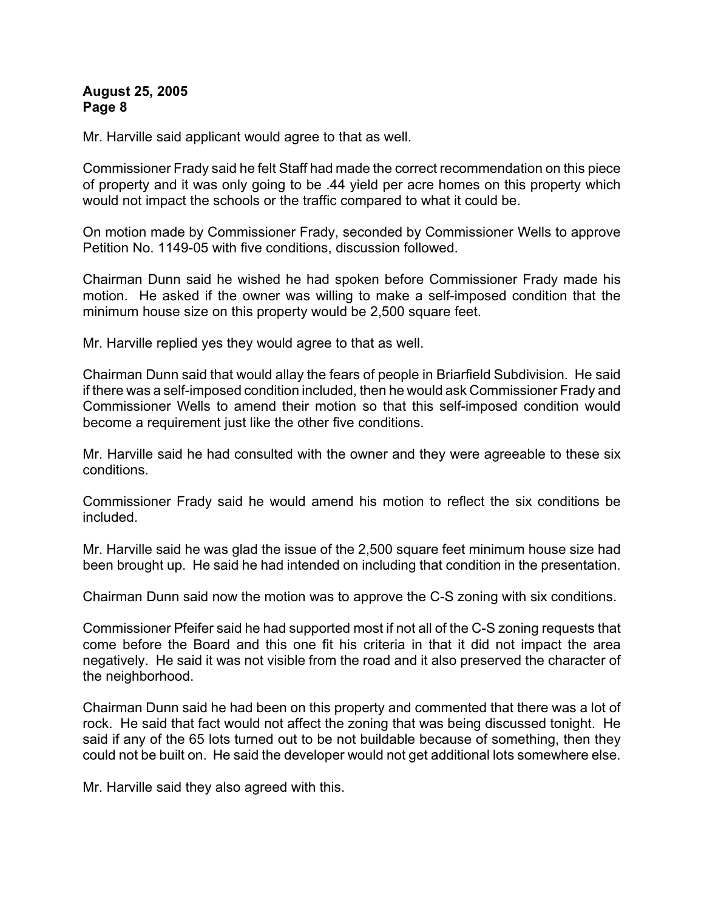Mr. Harville said applicant would agree to that as well.

Commissioner Frady said he felt Staff had made the correct recommendation on this piece of property and it was only going to be .44 yield per acre homes on this property which would not impact the schools or the traffic compared to what it could be.

On motion made by Commissioner Frady, seconded by Commissioner Wells to approve Petition No. 1149-05 with five conditions, discussion followed.

Chairman Dunn said he wished he had spoken before Commissioner Frady made his motion. He asked if the owner was willing to make a self-imposed condition that the minimum house size on this property would be 2,500 square feet.

Mr. Harville replied yes they would agree to that as well.

Chairman Dunn said that would allay the fears of people in Briarfield Subdivision. He said if there was a self-imposed condition included, then he would ask Commissioner Frady and Commissioner Wells to amend their motion so that this self-imposed condition would become a requirement just like the other five conditions.

Mr. Harville said he had consulted with the owner and they were agreeable to these six conditions.

Commissioner Frady said he would amend his motion to reflect the six conditions be included.

Mr. Harville said he was glad the issue of the 2,500 square feet minimum house size had been brought up. He said he had intended on including that condition in the presentation.

Chairman Dunn said now the motion was to approve the C-S zoning with six conditions.

Commissioner Pfeifer said he had supported most if not all of the C-S zoning requests that come before the Board and this one fit his criteria in that it did not impact the area negatively. He said it was not visible from the road and it also preserved the character of the neighborhood.

Chairman Dunn said he had been on this property and commented that there was a lot of rock. He said that fact would not affect the zoning that was being discussed tonight. He said if any of the 65 lots turned out to be not buildable because of something, then they could not be built on. He said the developer would not get additional lots somewhere else.

Mr. Harville said they also agreed with this.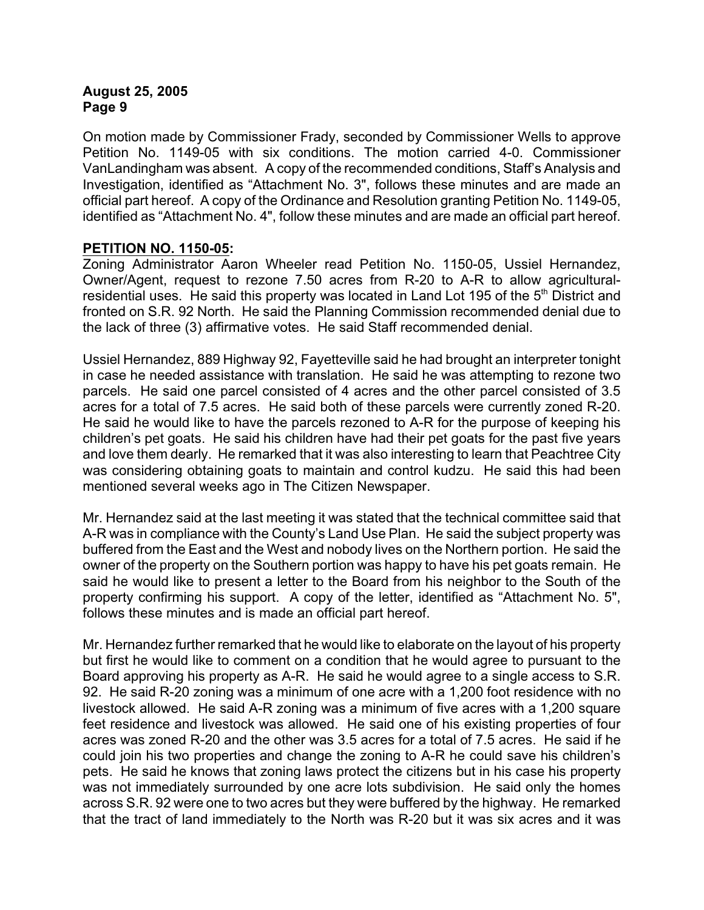On motion made by Commissioner Frady, seconded by Commissioner Wells to approve Petition No. 1149-05 with six conditions. The motion carried 4-0. Commissioner VanLandingham was absent. A copy of the recommended conditions, Staff's Analysis and Investigation, identified as "Attachment No. 3", follows these minutes and are made an official part hereof. A copy of the Ordinance and Resolution granting Petition No. 1149-05, identified as "Attachment No. 4", follow these minutes and are made an official part hereof.

# **PETITION NO. 1150-05:**

Zoning Administrator Aaron Wheeler read Petition No. 1150-05, Ussiel Hernandez, Owner/Agent, request to rezone 7.50 acres from R-20 to A-R to allow agriculturalresidential uses. He said this property was located in Land Lot 195 of the  $5<sup>th</sup>$  District and fronted on S.R. 92 North. He said the Planning Commission recommended denial due to the lack of three (3) affirmative votes. He said Staff recommended denial.

Ussiel Hernandez, 889 Highway 92, Fayetteville said he had brought an interpreter tonight in case he needed assistance with translation. He said he was attempting to rezone two parcels. He said one parcel consisted of 4 acres and the other parcel consisted of 3.5 acres for a total of 7.5 acres. He said both of these parcels were currently zoned R-20. He said he would like to have the parcels rezoned to A-R for the purpose of keeping his children's pet goats. He said his children have had their pet goats for the past five years and love them dearly. He remarked that it was also interesting to learn that Peachtree City was considering obtaining goats to maintain and control kudzu. He said this had been mentioned several weeks ago in The Citizen Newspaper.

Mr. Hernandez said at the last meeting it was stated that the technical committee said that A-R was in compliance with the County's Land Use Plan. He said the subject property was buffered from the East and the West and nobody lives on the Northern portion. He said the owner of the property on the Southern portion was happy to have his pet goats remain. He said he would like to present a letter to the Board from his neighbor to the South of the property confirming his support. A copy of the letter, identified as "Attachment No. 5", follows these minutes and is made an official part hereof.

Mr. Hernandez further remarked that he would like to elaborate on the layout of his property but first he would like to comment on a condition that he would agree to pursuant to the Board approving his property as A-R. He said he would agree to a single access to S.R. 92. He said R-20 zoning was a minimum of one acre with a 1,200 foot residence with no livestock allowed. He said A-R zoning was a minimum of five acres with a 1,200 square feet residence and livestock was allowed. He said one of his existing properties of four acres was zoned R-20 and the other was 3.5 acres for a total of 7.5 acres. He said if he could join his two properties and change the zoning to A-R he could save his children's pets. He said he knows that zoning laws protect the citizens but in his case his property was not immediately surrounded by one acre lots subdivision. He said only the homes across S.R. 92 were one to two acres but they were buffered by the highway. He remarked that the tract of land immediately to the North was R-20 but it was six acres and it was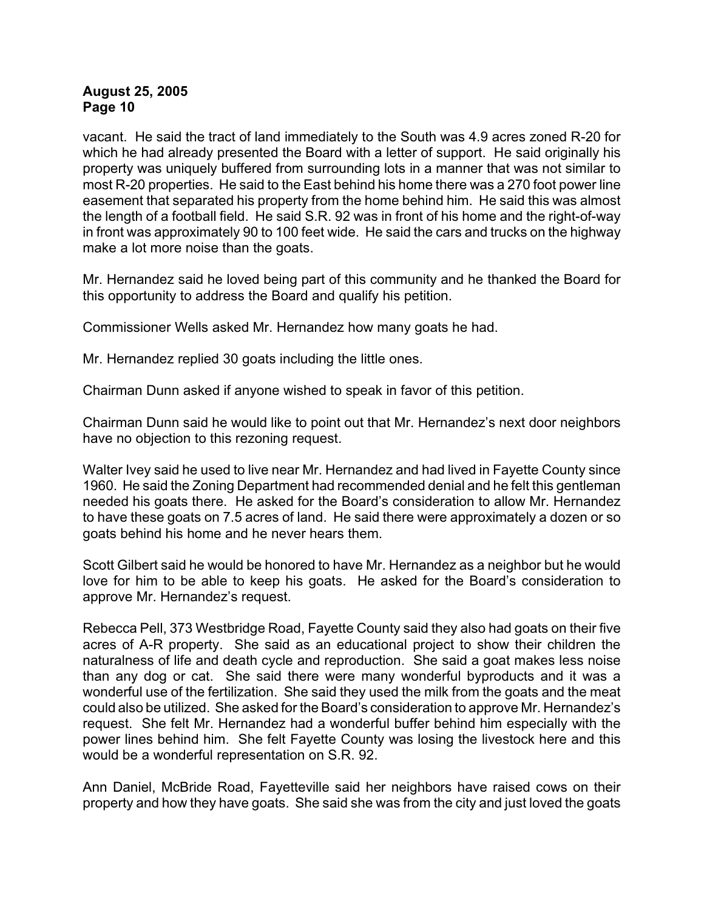vacant. He said the tract of land immediately to the South was 4.9 acres zoned R-20 for which he had already presented the Board with a letter of support. He said originally his property was uniquely buffered from surrounding lots in a manner that was not similar to most R-20 properties. He said to the East behind his home there was a 270 foot power line easement that separated his property from the home behind him. He said this was almost the length of a football field. He said S.R. 92 was in front of his home and the right-of-way in front was approximately 90 to 100 feet wide. He said the cars and trucks on the highway make a lot more noise than the goats.

Mr. Hernandez said he loved being part of this community and he thanked the Board for this opportunity to address the Board and qualify his petition.

Commissioner Wells asked Mr. Hernandez how many goats he had.

Mr. Hernandez replied 30 goats including the little ones.

Chairman Dunn asked if anyone wished to speak in favor of this petition.

Chairman Dunn said he would like to point out that Mr. Hernandez's next door neighbors have no objection to this rezoning request.

Walter Ivey said he used to live near Mr. Hernandez and had lived in Fayette County since 1960. He said the Zoning Department had recommended denial and he felt this gentleman needed his goats there. He asked for the Board's consideration to allow Mr. Hernandez to have these goats on 7.5 acres of land. He said there were approximately a dozen or so goats behind his home and he never hears them.

Scott Gilbert said he would be honored to have Mr. Hernandez as a neighbor but he would love for him to be able to keep his goats. He asked for the Board's consideration to approve Mr. Hernandez's request.

Rebecca Pell, 373 Westbridge Road, Fayette County said they also had goats on their five acres of A-R property. She said as an educational project to show their children the naturalness of life and death cycle and reproduction. She said a goat makes less noise than any dog or cat. She said there were many wonderful byproducts and it was a wonderful use of the fertilization. She said they used the milk from the goats and the meat could also be utilized. She asked for the Board's consideration to approve Mr. Hernandez's request. She felt Mr. Hernandez had a wonderful buffer behind him especially with the power lines behind him. She felt Fayette County was losing the livestock here and this would be a wonderful representation on S.R. 92.

Ann Daniel, McBride Road, Fayetteville said her neighbors have raised cows on their property and how they have goats. She said she was from the city and just loved the goats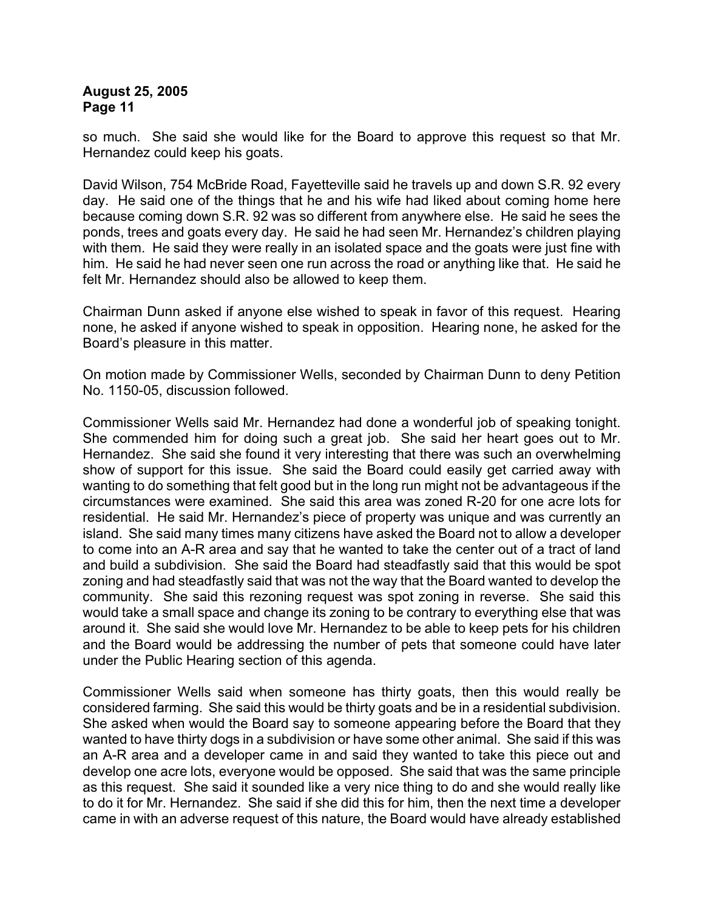so much. She said she would like for the Board to approve this request so that Mr. Hernandez could keep his goats.

David Wilson, 754 McBride Road, Fayetteville said he travels up and down S.R. 92 every day. He said one of the things that he and his wife had liked about coming home here because coming down S.R. 92 was so different from anywhere else. He said he sees the ponds, trees and goats every day. He said he had seen Mr. Hernandez's children playing with them. He said they were really in an isolated space and the goats were just fine with him. He said he had never seen one run across the road or anything like that. He said he felt Mr. Hernandez should also be allowed to keep them.

Chairman Dunn asked if anyone else wished to speak in favor of this request. Hearing none, he asked if anyone wished to speak in opposition. Hearing none, he asked for the Board's pleasure in this matter.

On motion made by Commissioner Wells, seconded by Chairman Dunn to deny Petition No. 1150-05, discussion followed.

Commissioner Wells said Mr. Hernandez had done a wonderful job of speaking tonight. She commended him for doing such a great job. She said her heart goes out to Mr. Hernandez. She said she found it very interesting that there was such an overwhelming show of support for this issue. She said the Board could easily get carried away with wanting to do something that felt good but in the long run might not be advantageous if the circumstances were examined. She said this area was zoned R-20 for one acre lots for residential. He said Mr. Hernandez's piece of property was unique and was currently an island. She said many times many citizens have asked the Board not to allow a developer to come into an A-R area and say that he wanted to take the center out of a tract of land and build a subdivision. She said the Board had steadfastly said that this would be spot zoning and had steadfastly said that was not the way that the Board wanted to develop the community. She said this rezoning request was spot zoning in reverse. She said this would take a small space and change its zoning to be contrary to everything else that was around it. She said she would love Mr. Hernandez to be able to keep pets for his children and the Board would be addressing the number of pets that someone could have later under the Public Hearing section of this agenda.

Commissioner Wells said when someone has thirty goats, then this would really be considered farming. She said this would be thirty goats and be in a residential subdivision. She asked when would the Board say to someone appearing before the Board that they wanted to have thirty dogs in a subdivision or have some other animal. She said if this was an A-R area and a developer came in and said they wanted to take this piece out and develop one acre lots, everyone would be opposed. She said that was the same principle as this request. She said it sounded like a very nice thing to do and she would really like to do it for Mr. Hernandez. She said if she did this for him, then the next time a developer came in with an adverse request of this nature, the Board would have already established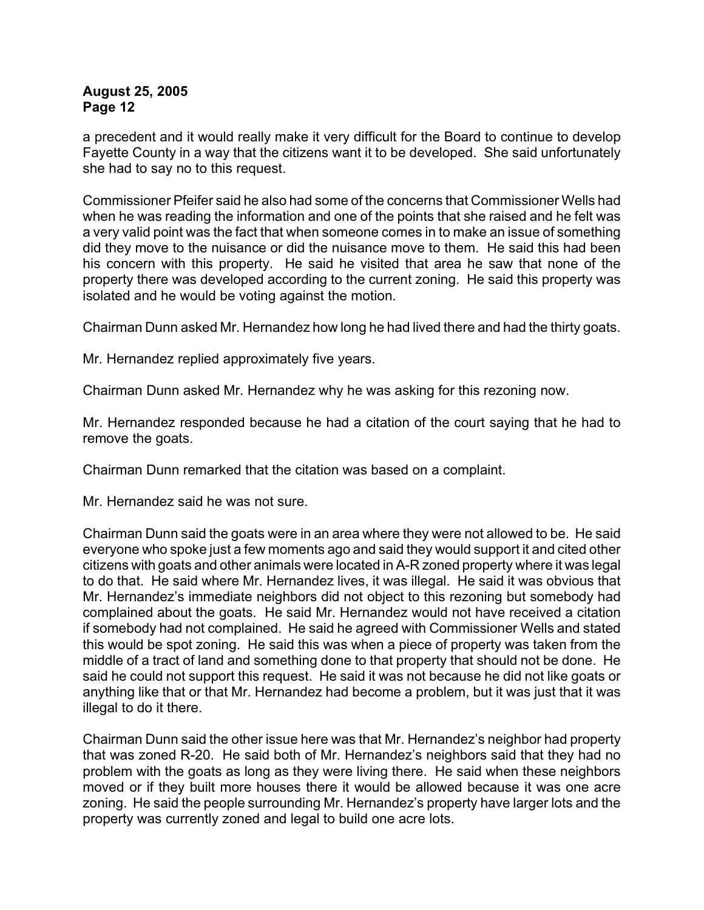a precedent and it would really make it very difficult for the Board to continue to develop Fayette County in a way that the citizens want it to be developed. She said unfortunately she had to say no to this request.

Commissioner Pfeifer said he also had some of the concerns that Commissioner Wells had when he was reading the information and one of the points that she raised and he felt was a very valid point was the fact that when someone comes in to make an issue of something did they move to the nuisance or did the nuisance move to them. He said this had been his concern with this property. He said he visited that area he saw that none of the property there was developed according to the current zoning. He said this property was isolated and he would be voting against the motion.

Chairman Dunn asked Mr. Hernandez how long he had lived there and had the thirty goats.

Mr. Hernandez replied approximately five years.

Chairman Dunn asked Mr. Hernandez why he was asking for this rezoning now.

Mr. Hernandez responded because he had a citation of the court saying that he had to remove the goats.

Chairman Dunn remarked that the citation was based on a complaint.

Mr. Hernandez said he was not sure.

Chairman Dunn said the goats were in an area where they were not allowed to be. He said everyone who spoke just a few moments ago and said they would support it and cited other citizens with goats and other animals were located in A-R zoned property where it was legal to do that. He said where Mr. Hernandez lives, it was illegal. He said it was obvious that Mr. Hernandez's immediate neighbors did not object to this rezoning but somebody had complained about the goats. He said Mr. Hernandez would not have received a citation if somebody had not complained. He said he agreed with Commissioner Wells and stated this would be spot zoning. He said this was when a piece of property was taken from the middle of a tract of land and something done to that property that should not be done. He said he could not support this request. He said it was not because he did not like goats or anything like that or that Mr. Hernandez had become a problem, but it was just that it was illegal to do it there.

Chairman Dunn said the other issue here was that Mr. Hernandez's neighbor had property that was zoned R-20. He said both of Mr. Hernandez's neighbors said that they had no problem with the goats as long as they were living there. He said when these neighbors moved or if they built more houses there it would be allowed because it was one acre zoning. He said the people surrounding Mr. Hernandez's property have larger lots and the property was currently zoned and legal to build one acre lots.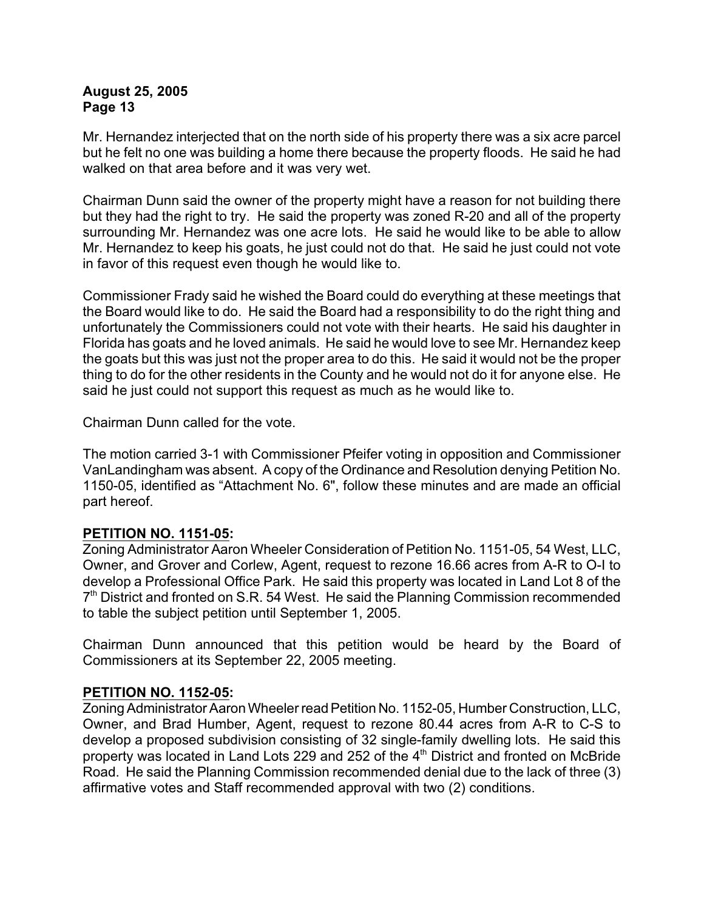Mr. Hernandez interjected that on the north side of his property there was a six acre parcel but he felt no one was building a home there because the property floods. He said he had walked on that area before and it was very wet.

Chairman Dunn said the owner of the property might have a reason for not building there but they had the right to try. He said the property was zoned R-20 and all of the property surrounding Mr. Hernandez was one acre lots. He said he would like to be able to allow Mr. Hernandez to keep his goats, he just could not do that. He said he just could not vote in favor of this request even though he would like to.

Commissioner Frady said he wished the Board could do everything at these meetings that the Board would like to do. He said the Board had a responsibility to do the right thing and unfortunately the Commissioners could not vote with their hearts. He said his daughter in Florida has goats and he loved animals. He said he would love to see Mr. Hernandez keep the goats but this was just not the proper area to do this. He said it would not be the proper thing to do for the other residents in the County and he would not do it for anyone else. He said he just could not support this request as much as he would like to.

Chairman Dunn called for the vote.

The motion carried 3-1 with Commissioner Pfeifer voting in opposition and Commissioner VanLandingham was absent. A copy of the Ordinance and Resolution denying Petition No. 1150-05, identified as "Attachment No. 6", follow these minutes and are made an official part hereof.

#### **PETITION NO. 1151-05:**

Zoning Administrator Aaron Wheeler Consideration of Petition No. 1151-05, 54 West, LLC, Owner, and Grover and Corlew, Agent, request to rezone 16.66 acres from A-R to O-I to develop a Professional Office Park. He said this property was located in Land Lot 8 of the  $7<sup>th</sup>$  District and fronted on S.R. 54 West. He said the Planning Commission recommended to table the subject petition until September 1, 2005.

Chairman Dunn announced that this petition would be heard by the Board of Commissioners at its September 22, 2005 meeting.

#### **PETITION NO. 1152-05:**

Zoning Administrator Aaron Wheeler read Petition No. 1152-05, Humber Construction, LLC, Owner, and Brad Humber, Agent, request to rezone 80.44 acres from A-R to C-S to develop a proposed subdivision consisting of 32 single-family dwelling lots. He said this property was located in Land Lots 229 and 252 of the 4<sup>th</sup> District and fronted on McBride Road. He said the Planning Commission recommended denial due to the lack of three (3) affirmative votes and Staff recommended approval with two (2) conditions.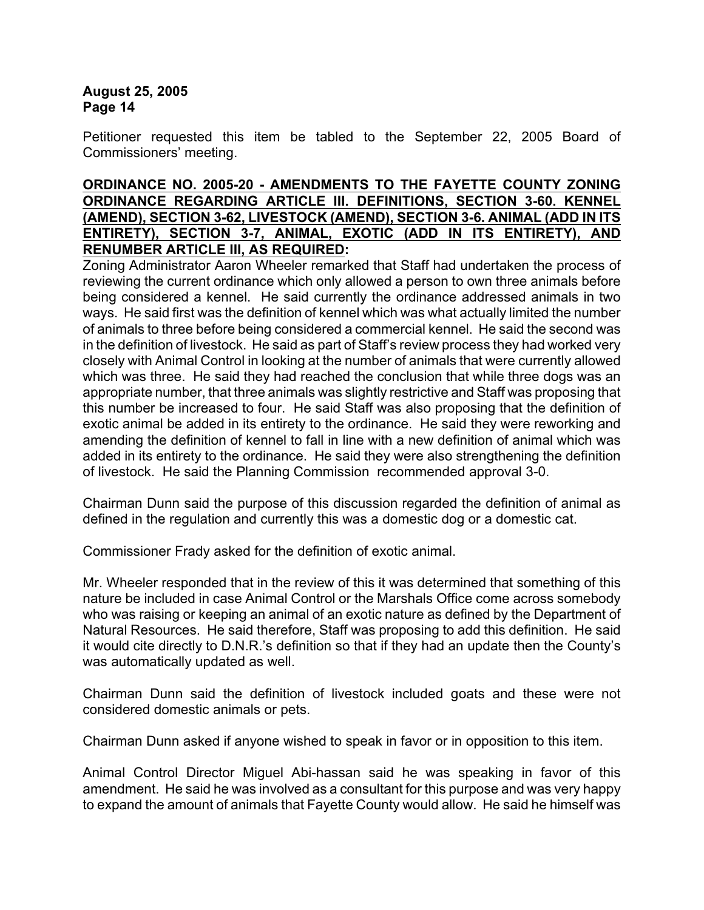Petitioner requested this item be tabled to the September 22, 2005 Board of Commissioners' meeting.

#### **ORDINANCE NO. 2005-20 - AMENDMENTS TO THE FAYETTE COUNTY ZONING ORDINANCE REGARDING ARTICLE III. DEFINITIONS, SECTION 3-60. KENNEL (AMEND), SECTION 3-62, LIVESTOCK (AMEND), SECTION 3-6. ANIMAL (ADD IN ITS ENTIRETY), SECTION 3-7, ANIMAL, EXOTIC (ADD IN ITS ENTIRETY), AND RENUMBER ARTICLE III, AS REQUIRED:**

Zoning Administrator Aaron Wheeler remarked that Staff had undertaken the process of reviewing the current ordinance which only allowed a person to own three animals before being considered a kennel. He said currently the ordinance addressed animals in two ways. He said first was the definition of kennel which was what actually limited the number of animals to three before being considered a commercial kennel. He said the second was in the definition of livestock. He said as part of Staff's review process they had worked very closely with Animal Control in looking at the number of animals that were currently allowed which was three. He said they had reached the conclusion that while three dogs was an appropriate number, that three animals was slightly restrictive and Staff was proposing that this number be increased to four. He said Staff was also proposing that the definition of exotic animal be added in its entirety to the ordinance. He said they were reworking and amending the definition of kennel to fall in line with a new definition of animal which was added in its entirety to the ordinance. He said they were also strengthening the definition of livestock. He said the Planning Commission recommended approval 3-0.

Chairman Dunn said the purpose of this discussion regarded the definition of animal as defined in the regulation and currently this was a domestic dog or a domestic cat.

Commissioner Frady asked for the definition of exotic animal.

Mr. Wheeler responded that in the review of this it was determined that something of this nature be included in case Animal Control or the Marshals Office come across somebody who was raising or keeping an animal of an exotic nature as defined by the Department of Natural Resources. He said therefore, Staff was proposing to add this definition. He said it would cite directly to D.N.R.'s definition so that if they had an update then the County's was automatically updated as well.

Chairman Dunn said the definition of livestock included goats and these were not considered domestic animals or pets.

Chairman Dunn asked if anyone wished to speak in favor or in opposition to this item.

Animal Control Director Miguel Abi-hassan said he was speaking in favor of this amendment. He said he was involved as a consultant for this purpose and was very happy to expand the amount of animals that Fayette County would allow. He said he himself was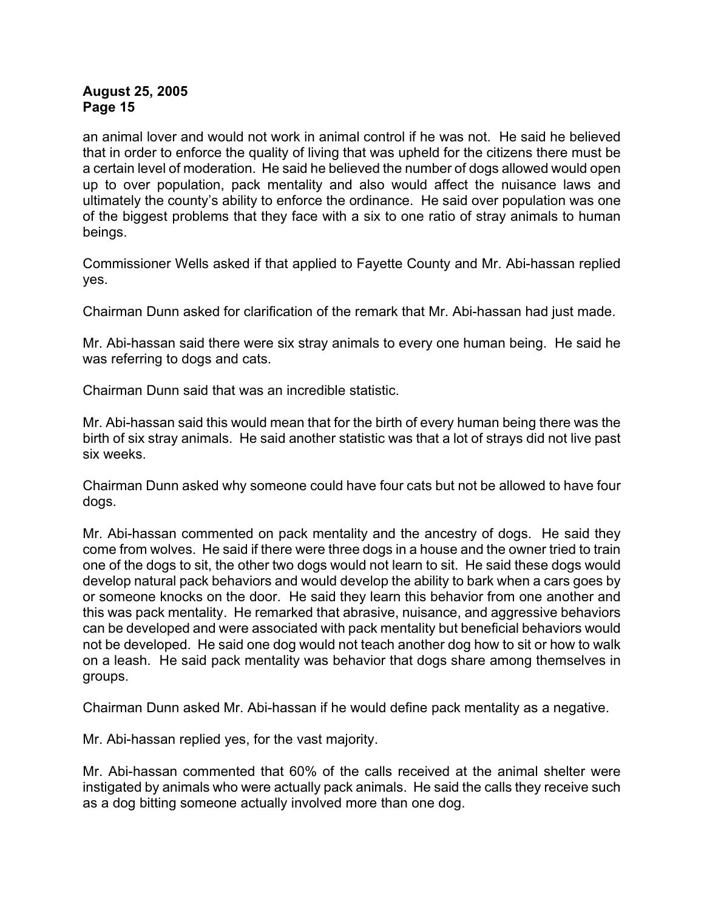an animal lover and would not work in animal control if he was not. He said he believed that in order to enforce the quality of living that was upheld for the citizens there must be a certain level of moderation. He said he believed the number of dogs allowed would open up to over population, pack mentality and also would affect the nuisance laws and ultimately the county's ability to enforce the ordinance. He said over population was one of the biggest problems that they face with a six to one ratio of stray animals to human beings.

Commissioner Wells asked if that applied to Fayette County and Mr. Abi-hassan replied yes.

Chairman Dunn asked for clarification of the remark that Mr. Abi-hassan had just made.

Mr. Abi-hassan said there were six stray animals to every one human being. He said he was referring to dogs and cats.

Chairman Dunn said that was an incredible statistic.

Mr. Abi-hassan said this would mean that for the birth of every human being there was the birth of six stray animals. He said another statistic was that a lot of strays did not live past six weeks.

Chairman Dunn asked why someone could have four cats but not be allowed to have four dogs.

Mr. Abi-hassan commented on pack mentality and the ancestry of dogs. He said they come from wolves. He said if there were three dogs in a house and the owner tried to train one of the dogs to sit, the other two dogs would not learn to sit. He said these dogs would develop natural pack behaviors and would develop the ability to bark when a cars goes by or someone knocks on the door. He said they learn this behavior from one another and this was pack mentality. He remarked that abrasive, nuisance, and aggressive behaviors can be developed and were associated with pack mentality but beneficial behaviors would not be developed. He said one dog would not teach another dog how to sit or how to walk on a leash. He said pack mentality was behavior that dogs share among themselves in groups.

Chairman Dunn asked Mr. Abi-hassan if he would define pack mentality as a negative.

Mr. Abi-hassan replied yes, for the vast majority.

Mr. Abi-hassan commented that 60% of the calls received at the animal shelter were instigated by animals who were actually pack animals. He said the calls they receive such as a dog bitting someone actually involved more than one dog.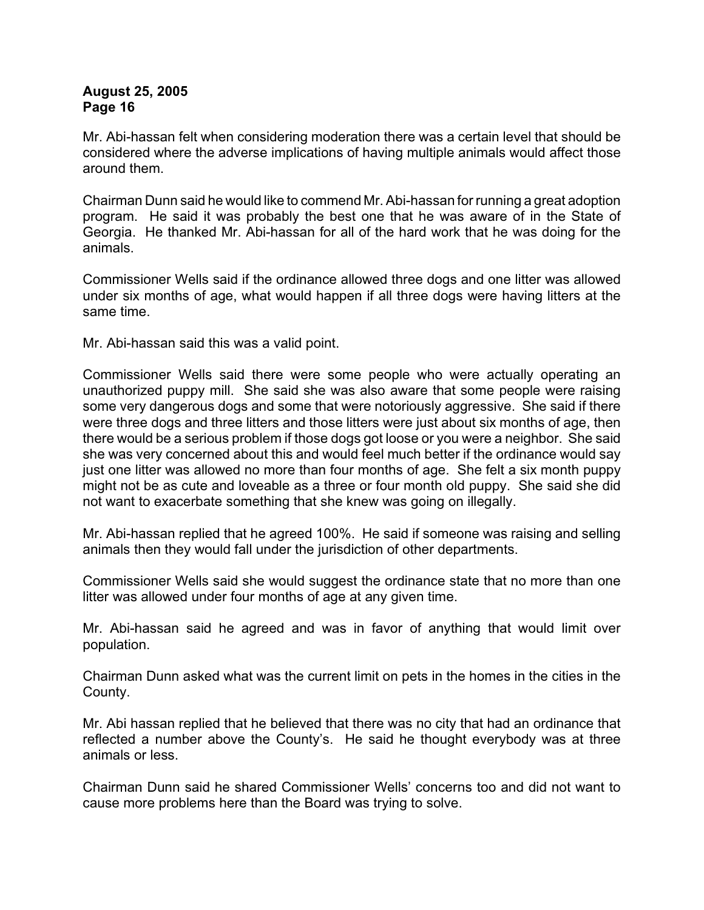Mr. Abi-hassan felt when considering moderation there was a certain level that should be considered where the adverse implications of having multiple animals would affect those around them.

Chairman Dunn said he would like to commend Mr. Abi-hassan for running a great adoption program. He said it was probably the best one that he was aware of in the State of Georgia. He thanked Mr. Abi-hassan for all of the hard work that he was doing for the animals.

Commissioner Wells said if the ordinance allowed three dogs and one litter was allowed under six months of age, what would happen if all three dogs were having litters at the same time.

Mr. Abi-hassan said this was a valid point.

Commissioner Wells said there were some people who were actually operating an unauthorized puppy mill. She said she was also aware that some people were raising some very dangerous dogs and some that were notoriously aggressive. She said if there were three dogs and three litters and those litters were just about six months of age, then there would be a serious problem if those dogs got loose or you were a neighbor. She said she was very concerned about this and would feel much better if the ordinance would say just one litter was allowed no more than four months of age. She felt a six month puppy might not be as cute and loveable as a three or four month old puppy. She said she did not want to exacerbate something that she knew was going on illegally.

Mr. Abi-hassan replied that he agreed 100%. He said if someone was raising and selling animals then they would fall under the jurisdiction of other departments.

Commissioner Wells said she would suggest the ordinance state that no more than one litter was allowed under four months of age at any given time.

Mr. Abi-hassan said he agreed and was in favor of anything that would limit over population.

Chairman Dunn asked what was the current limit on pets in the homes in the cities in the County.

Mr. Abi hassan replied that he believed that there was no city that had an ordinance that reflected a number above the County's. He said he thought everybody was at three animals or less.

Chairman Dunn said he shared Commissioner Wells' concerns too and did not want to cause more problems here than the Board was trying to solve.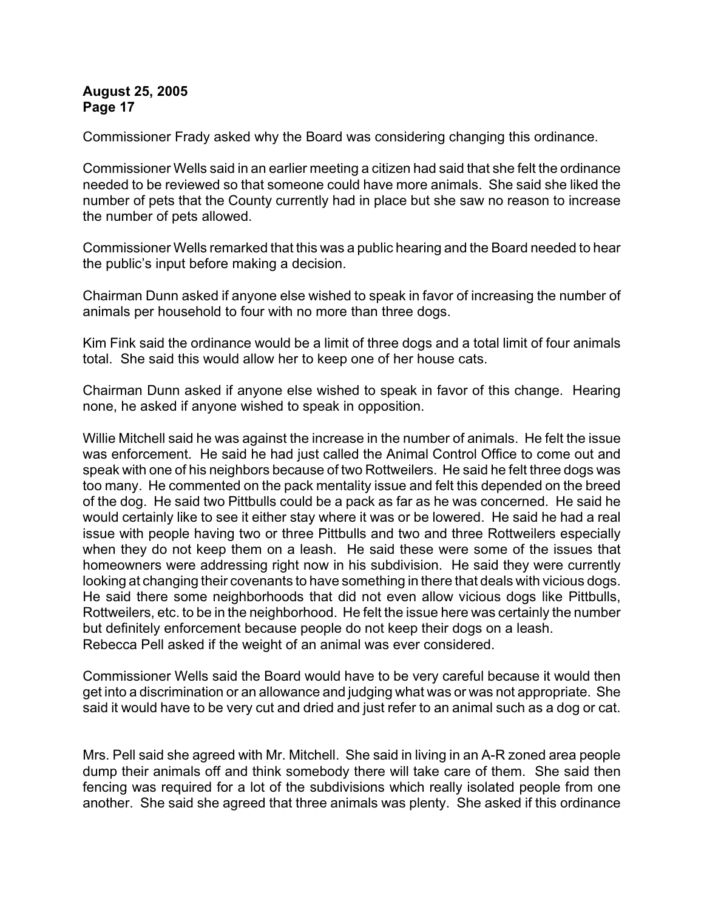Commissioner Frady asked why the Board was considering changing this ordinance.

Commissioner Wells said in an earlier meeting a citizen had said that she felt the ordinance needed to be reviewed so that someone could have more animals. She said she liked the number of pets that the County currently had in place but she saw no reason to increase the number of pets allowed.

Commissioner Wells remarked that this was a public hearing and the Board needed to hear the public's input before making a decision.

Chairman Dunn asked if anyone else wished to speak in favor of increasing the number of animals per household to four with no more than three dogs.

Kim Fink said the ordinance would be a limit of three dogs and a total limit of four animals total. She said this would allow her to keep one of her house cats.

Chairman Dunn asked if anyone else wished to speak in favor of this change. Hearing none, he asked if anyone wished to speak in opposition.

Willie Mitchell said he was against the increase in the number of animals. He felt the issue was enforcement. He said he had just called the Animal Control Office to come out and speak with one of his neighbors because of two Rottweilers. He said he felt three dogs was too many. He commented on the pack mentality issue and felt this depended on the breed of the dog. He said two Pittbulls could be a pack as far as he was concerned. He said he would certainly like to see it either stay where it was or be lowered. He said he had a real issue with people having two or three Pittbulls and two and three Rottweilers especially when they do not keep them on a leash. He said these were some of the issues that homeowners were addressing right now in his subdivision. He said they were currently looking at changing their covenants to have something in there that deals with vicious dogs. He said there some neighborhoods that did not even allow vicious dogs like Pittbulls, Rottweilers, etc. to be in the neighborhood. He felt the issue here was certainly the number but definitely enforcement because people do not keep their dogs on a leash. Rebecca Pell asked if the weight of an animal was ever considered.

Commissioner Wells said the Board would have to be very careful because it would then get into a discrimination or an allowance and judging what was or was not appropriate. She said it would have to be very cut and dried and just refer to an animal such as a dog or cat.

Mrs. Pell said she agreed with Mr. Mitchell. She said in living in an A-R zoned area people dump their animals off and think somebody there will take care of them. She said then fencing was required for a lot of the subdivisions which really isolated people from one another. She said she agreed that three animals was plenty. She asked if this ordinance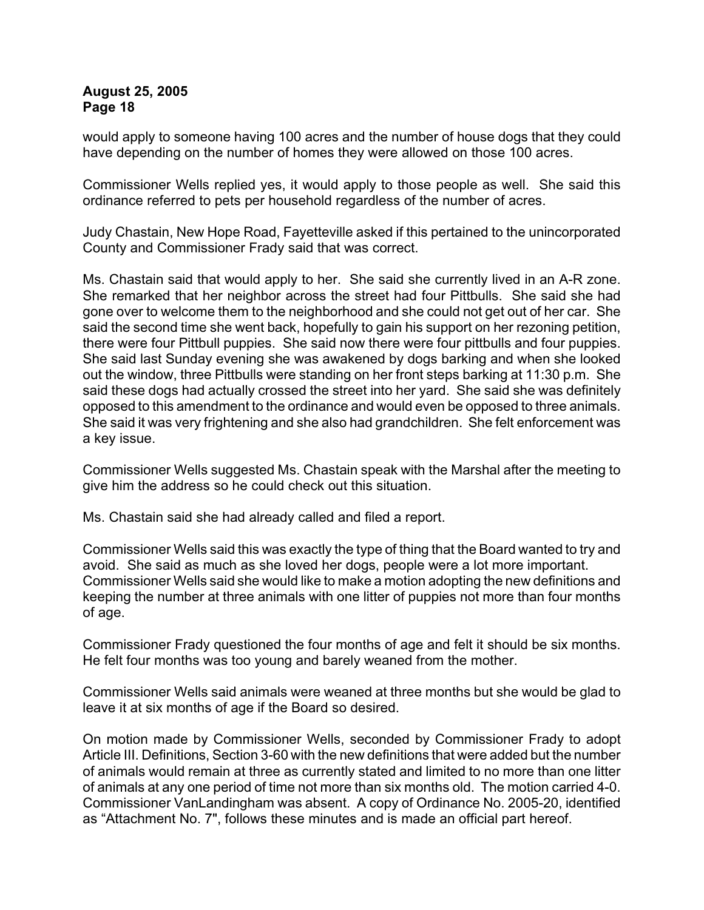would apply to someone having 100 acres and the number of house dogs that they could have depending on the number of homes they were allowed on those 100 acres.

Commissioner Wells replied yes, it would apply to those people as well. She said this ordinance referred to pets per household regardless of the number of acres.

Judy Chastain, New Hope Road, Fayetteville asked if this pertained to the unincorporated County and Commissioner Frady said that was correct.

Ms. Chastain said that would apply to her. She said she currently lived in an A-R zone. She remarked that her neighbor across the street had four Pittbulls. She said she had gone over to welcome them to the neighborhood and she could not get out of her car. She said the second time she went back, hopefully to gain his support on her rezoning petition, there were four Pittbull puppies. She said now there were four pittbulls and four puppies. She said last Sunday evening she was awakened by dogs barking and when she looked out the window, three Pittbulls were standing on her front steps barking at 11:30 p.m. She said these dogs had actually crossed the street into her yard. She said she was definitely opposed to this amendment to the ordinance and would even be opposed to three animals. She said it was very frightening and she also had grandchildren. She felt enforcement was a key issue.

Commissioner Wells suggested Ms. Chastain speak with the Marshal after the meeting to give him the address so he could check out this situation.

Ms. Chastain said she had already called and filed a report.

Commissioner Wells said this was exactly the type of thing that the Board wanted to try and avoid. She said as much as she loved her dogs, people were a lot more important. Commissioner Wells said she would like to make a motion adopting the new definitions and keeping the number at three animals with one litter of puppies not more than four months of age.

Commissioner Frady questioned the four months of age and felt it should be six months. He felt four months was too young and barely weaned from the mother.

Commissioner Wells said animals were weaned at three months but she would be glad to leave it at six months of age if the Board so desired.

On motion made by Commissioner Wells, seconded by Commissioner Frady to adopt Article III. Definitions, Section 3-60 with the new definitions that were added but the number of animals would remain at three as currently stated and limited to no more than one litter of animals at any one period of time not more than six months old. The motion carried 4-0. Commissioner VanLandingham was absent. A copy of Ordinance No. 2005-20, identified as "Attachment No. 7", follows these minutes and is made an official part hereof.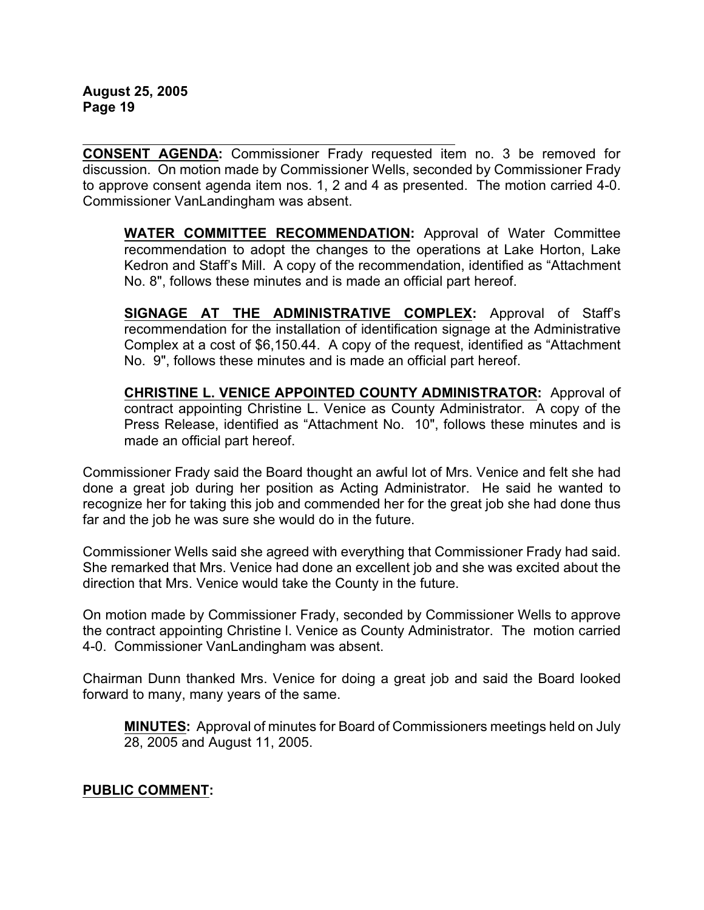**CONSENT AGENDA:** Commissioner Frady requested item no. 3 be removed for discussion. On motion made by Commissioner Wells, seconded by Commissioner Frady to approve consent agenda item nos. 1, 2 and 4 as presented. The motion carried 4-0. Commissioner VanLandingham was absent.

**WATER COMMITTEE RECOMMENDATION:** Approval of Water Committee recommendation to adopt the changes to the operations at Lake Horton, Lake Kedron and Staff's Mill. A copy of the recommendation, identified as "Attachment No. 8", follows these minutes and is made an official part hereof.

**SIGNAGE AT THE ADMINISTRATIVE COMPLEX:** Approval of Staff's recommendation for the installation of identification signage at the Administrative Complex at a cost of \$6,150.44. A copy of the request, identified as "Attachment No. 9", follows these minutes and is made an official part hereof.

**CHRISTINE L. VENICE APPOINTED COUNTY ADMINISTRATOR:** Approval of contract appointing Christine L. Venice as County Administrator. A copy of the Press Release, identified as "Attachment No. 10", follows these minutes and is made an official part hereof.

Commissioner Frady said the Board thought an awful lot of Mrs. Venice and felt she had done a great job during her position as Acting Administrator. He said he wanted to recognize her for taking this job and commended her for the great job she had done thus far and the job he was sure she would do in the future.

Commissioner Wells said she agreed with everything that Commissioner Frady had said. She remarked that Mrs. Venice had done an excellent job and she was excited about the direction that Mrs. Venice would take the County in the future.

On motion made by Commissioner Frady, seconded by Commissioner Wells to approve the contract appointing Christine l. Venice as County Administrator. The motion carried 4-0. Commissioner VanLandingham was absent.

Chairman Dunn thanked Mrs. Venice for doing a great job and said the Board looked forward to many, many years of the same.

**MINUTES:** Approval of minutes for Board of Commissioners meetings held on July 28, 2005 and August 11, 2005.

#### **PUBLIC COMMENT:**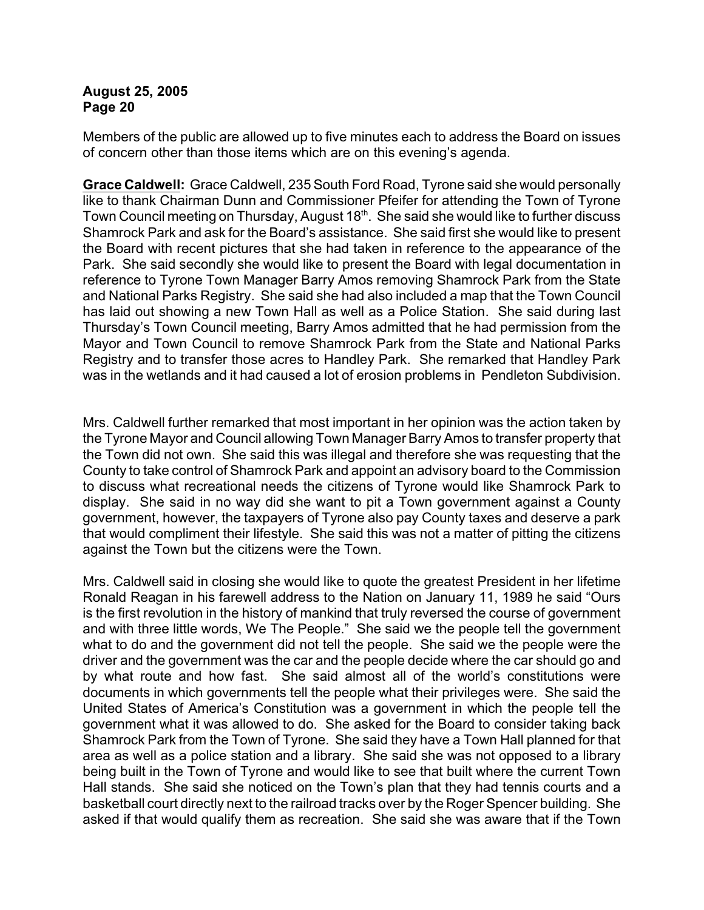Members of the public are allowed up to five minutes each to address the Board on issues of concern other than those items which are on this evening's agenda.

**Grace Caldwell:** Grace Caldwell, 235 South Ford Road, Tyrone said she would personally like to thank Chairman Dunn and Commissioner Pfeifer for attending the Town of Tyrone Town Council meeting on Thursday, August 18<sup>th</sup>. She said she would like to further discuss Shamrock Park and ask for the Board's assistance. She said first she would like to present the Board with recent pictures that she had taken in reference to the appearance of the Park. She said secondly she would like to present the Board with legal documentation in reference to Tyrone Town Manager Barry Amos removing Shamrock Park from the State and National Parks Registry. She said she had also included a map that the Town Council has laid out showing a new Town Hall as well as a Police Station. She said during last Thursday's Town Council meeting, Barry Amos admitted that he had permission from the Mayor and Town Council to remove Shamrock Park from the State and National Parks Registry and to transfer those acres to Handley Park. She remarked that Handley Park was in the wetlands and it had caused a lot of erosion problems in Pendleton Subdivision.

Mrs. Caldwell further remarked that most important in her opinion was the action taken by the Tyrone Mayor and Council allowing Town Manager Barry Amos to transfer property that the Town did not own. She said this was illegal and therefore she was requesting that the County to take control of Shamrock Park and appoint an advisory board to the Commission to discuss what recreational needs the citizens of Tyrone would like Shamrock Park to display. She said in no way did she want to pit a Town government against a County government, however, the taxpayers of Tyrone also pay County taxes and deserve a park that would compliment their lifestyle. She said this was not a matter of pitting the citizens against the Town but the citizens were the Town.

Mrs. Caldwell said in closing she would like to quote the greatest President in her lifetime Ronald Reagan in his farewell address to the Nation on January 11, 1989 he said "Ours is the first revolution in the history of mankind that truly reversed the course of government and with three little words, We The People." She said we the people tell the government what to do and the government did not tell the people. She said we the people were the driver and the government was the car and the people decide where the car should go and by what route and how fast. She said almost all of the world's constitutions were documents in which governments tell the people what their privileges were. She said the United States of America's Constitution was a government in which the people tell the government what it was allowed to do. She asked for the Board to consider taking back Shamrock Park from the Town of Tyrone. She said they have a Town Hall planned for that area as well as a police station and a library. She said she was not opposed to a library being built in the Town of Tyrone and would like to see that built where the current Town Hall stands. She said she noticed on the Town's plan that they had tennis courts and a basketball court directly next to the railroad tracks over by the Roger Spencer building. She asked if that would qualify them as recreation. She said she was aware that if the Town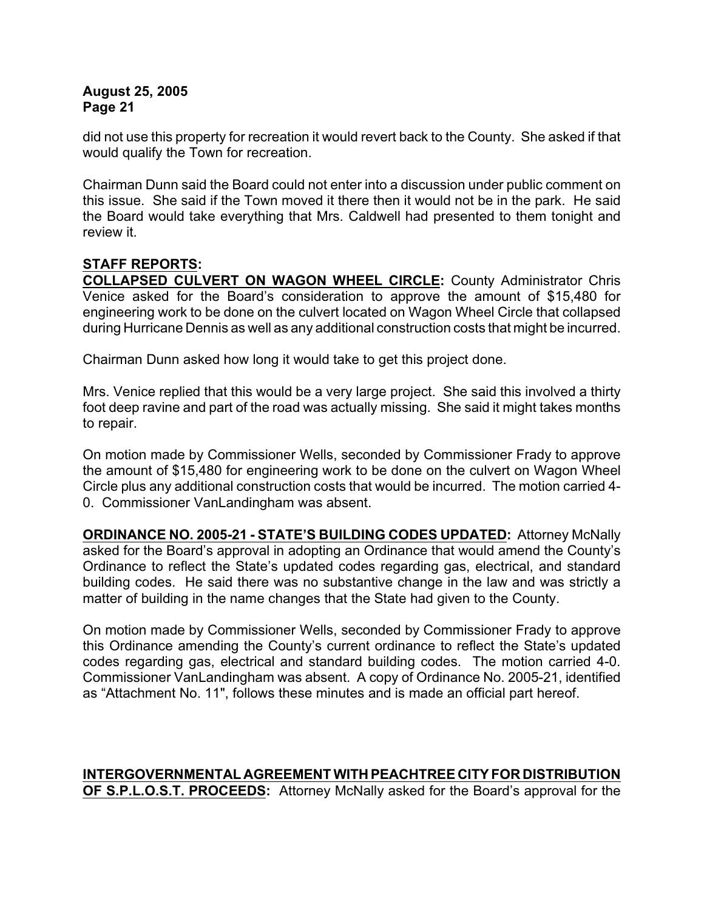did not use this property for recreation it would revert back to the County. She asked if that would qualify the Town for recreation.

Chairman Dunn said the Board could not enter into a discussion under public comment on this issue. She said if the Town moved it there then it would not be in the park. He said the Board would take everything that Mrs. Caldwell had presented to them tonight and review it.

# **STAFF REPORTS:**

**COLLAPSED CULVERT ON WAGON WHEEL CIRCLE:** County Administrator Chris Venice asked for the Board's consideration to approve the amount of \$15,480 for engineering work to be done on the culvert located on Wagon Wheel Circle that collapsed during Hurricane Dennis as well as any additional construction costs that might be incurred.

Chairman Dunn asked how long it would take to get this project done.

Mrs. Venice replied that this would be a very large project. She said this involved a thirty foot deep ravine and part of the road was actually missing. She said it might takes months to repair.

On motion made by Commissioner Wells, seconded by Commissioner Frady to approve the amount of \$15,480 for engineering work to be done on the culvert on Wagon Wheel Circle plus any additional construction costs that would be incurred. The motion carried 4- 0. Commissioner VanLandingham was absent.

**ORDINANCE NO. 2005-21 - STATE'S BUILDING CODES UPDATED:** Attorney McNally asked for the Board's approval in adopting an Ordinance that would amend the County's Ordinance to reflect the State's updated codes regarding gas, electrical, and standard building codes. He said there was no substantive change in the law and was strictly a matter of building in the name changes that the State had given to the County.

On motion made by Commissioner Wells, seconded by Commissioner Frady to approve this Ordinance amending the County's current ordinance to reflect the State's updated codes regarding gas, electrical and standard building codes. The motion carried 4-0. Commissioner VanLandingham was absent. A copy of Ordinance No. 2005-21, identified as "Attachment No. 11", follows these minutes and is made an official part hereof.

# **INTERGOVERNMENTAL AGREEMENT WITH PEACHTREE CITY FOR DISTRIBUTION OF S.P.L.O.S.T. PROCEEDS:** Attorney McNally asked for the Board's approval for the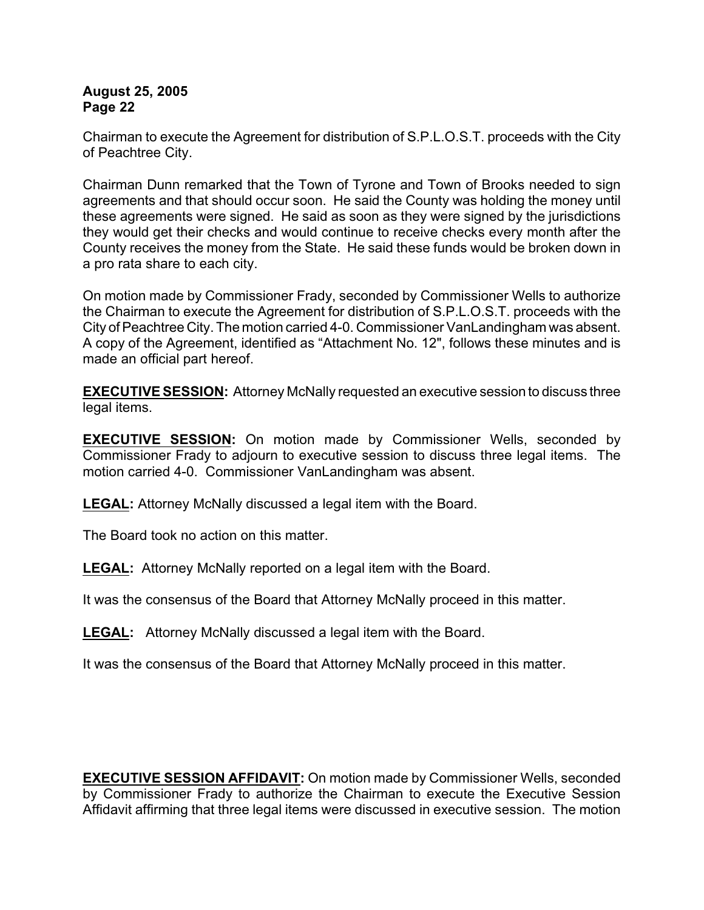Chairman to execute the Agreement for distribution of S.P.L.O.S.T. proceeds with the City of Peachtree City.

Chairman Dunn remarked that the Town of Tyrone and Town of Brooks needed to sign agreements and that should occur soon. He said the County was holding the money until these agreements were signed. He said as soon as they were signed by the jurisdictions they would get their checks and would continue to receive checks every month after the County receives the money from the State. He said these funds would be broken down in a pro rata share to each city.

On motion made by Commissioner Frady, seconded by Commissioner Wells to authorize the Chairman to execute the Agreement for distribution of S.P.L.O.S.T. proceeds with the City of Peachtree City. The motion carried 4-0. Commissioner VanLandingham was absent. A copy of the Agreement, identified as "Attachment No. 12", follows these minutes and is made an official part hereof.

**EXECUTIVE SESSION:** Attorney McNally requested an executive session to discuss three legal items.

**EXECUTIVE SESSION:** On motion made by Commissioner Wells, seconded by Commissioner Frady to adjourn to executive session to discuss three legal items. The motion carried 4-0. Commissioner VanLandingham was absent.

**LEGAL:** Attorney McNally discussed a legal item with the Board.

The Board took no action on this matter.

**LEGAL:** Attorney McNally reported on a legal item with the Board.

It was the consensus of the Board that Attorney McNally proceed in this matter.

**LEGAL:** Attorney McNally discussed a legal item with the Board.

It was the consensus of the Board that Attorney McNally proceed in this matter.

**EXECUTIVE SESSION AFFIDAVIT:** On motion made by Commissioner Wells, seconded by Commissioner Frady to authorize the Chairman to execute the Executive Session Affidavit affirming that three legal items were discussed in executive session. The motion